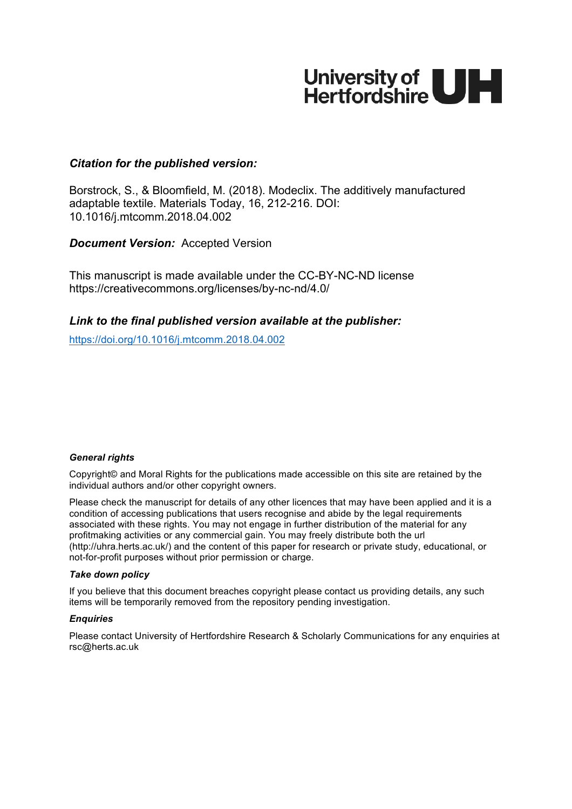# University of **ULLER**<br>Hertfordshire

## *Citation for the published version:*

Borstrock, S., & Bloomfield, M. (2018). Modeclix. The additively manufactured adaptable textile. Materials Today, 16, 212-216. DOI: 10.1016/j.mtcomm.2018.04.002

*Document Version:* Accepted Version

This manuscript is made available under the CC-BY-NC-ND license https://creativecommons.org/licenses/by-nc-nd/4.0/

## *Link to the final published version available at the publisher:*

https://doi.org/10.1016/j.mtcomm.2018.04.002

### *General rights*

Copyright© and Moral Rights for the publications made accessible on this site are retained by the individual authors and/or other copyright owners.

Please check the manuscript for details of any other licences that may have been applied and it is a condition of accessing publications that users recognise and abide by the legal requirements associated with these rights. You may not engage in further distribution of the material for any profitmaking activities or any commercial gain. You may freely distribute both the url (http://uhra.herts.ac.uk/) and the content of this paper for research or private study, educational, or not-for-profit purposes without prior permission or charge.

### *Take down policy*

If you believe that this document breaches copyright please contact us providing details, any such items will be temporarily removed from the repository pending investigation.

### *Enquiries*

Please contact University of Hertfordshire Research & Scholarly Communications for any enquiries at rsc@herts.ac.uk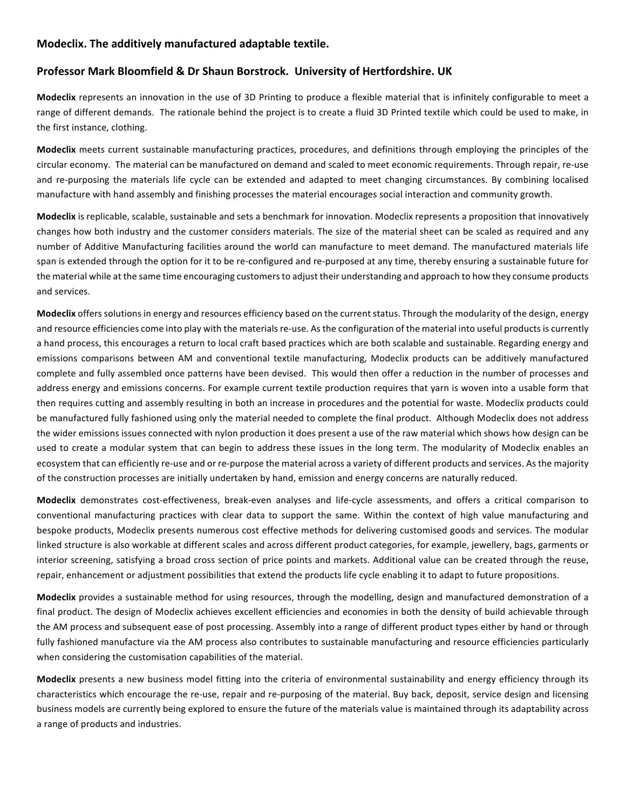### **Modeclix.** The additively manufactured adaptable textile.

#### **Professor Mark Bloomfield & Dr Shaun Borstrock. University of Hertfordshire. UK**

**Modeclix** represents an innovation in the use of 3D Printing to produce a flexible material that is infinitely configurable to meet a range of different demands. The rationale behind the project is to create a fluid 3D Printed textile which could be used to make, in the first instance, clothing.

Modeclix meets current sustainable manufacturing practices, procedures, and definitions through employing the principles of the circular economy. The material can be manufactured on demand and scaled to meet economic requirements. Through repair, re-use and re-purposing the materials life cycle can be extended and adapted to meet changing circumstances. By combining localised manufacture with hand assembly and finishing processes the material encourages social interaction and community growth.

**Modeclix** is replicable, scalable, sustainable and sets a benchmark for innovation. Modeclix represents a proposition that innovatively changes how both industry and the customer considers materials. The size of the material sheet can be scaled as required and any number of Additive Manufacturing facilities around the world can manufacture to meet demand. The manufactured materials life span is extended through the option for it to be re-configured and re-purposed at any time, thereby ensuring a sustainable future for the material while at the same time encouraging customers to adjust their understanding and approach to how they consume products and services.

**Modeclix** offers solutions in energy and resources efficiency based on the current status. Through the modularity of the design, energy and resource efficiencies come into play with the materials re-use. As the configuration of the material into useful products is currently a hand process, this encourages a return to local craft based practices which are both scalable and sustainable. Regarding energy and emissions comparisons between AM and conventional textile manufacturing, Modeclix products can be additively manufactured complete and fully assembled once patterns have been devised. This would then offer a reduction in the number of processes and address energy and emissions concerns. For example current textile production requires that yarn is woven into a usable form that then requires cutting and assembly resulting in both an increase in procedures and the potential for waste. Modeclix products could be manufactured fully fashioned using only the material needed to complete the final product. Although Modeclix does not address the wider emissions issues connected with nylon production it does present a use of the raw material which shows how design can be used to create a modular system that can begin to address these issues in the long term. The modularity of Modeclix enables an ecosystem that can efficiently re-use and or re-purpose the material across a variety of different products and services. As the majority of the construction processes are initially undertaken by hand, emission and energy concerns are naturally reduced.

Modeclix demonstrates cost-effectiveness, break-even analyses and life-cycle assessments, and offers a critical comparison to conventional manufacturing practices with clear data to support the same. Within the context of high value manufacturing and bespoke products, Modeclix presents numerous cost effective methods for delivering customised goods and services. The modular linked structure is also workable at different scales and across different product categories, for example, jewellery, bags, garments or interior screening, satisfying a broad cross section of price points and markets. Additional value can be created through the reuse, repair, enhancement or adjustment possibilities that extend the products life cycle enabling it to adapt to future propositions.

**Modeclix** provides a sustainable method for using resources, through the modelling, design and manufactured demonstration of a final product. The design of Modeclix achieves excellent efficiencies and economies in both the density of build achievable through the AM process and subsequent ease of post processing. Assembly into a range of different product types either by hand or through fully fashioned manufacture via the AM process also contributes to sustainable manufacturing and resource efficiencies particularly when considering the customisation capabilities of the material.

**Modeclix** presents a new business model fitting into the criteria of environmental sustainability and energy efficiency through its characteristics which encourage the re-use, repair and re-purposing of the material. Buy back, deposit, service design and licensing business models are currently being explored to ensure the future of the materials value is maintained through its adaptability across a range of products and industries.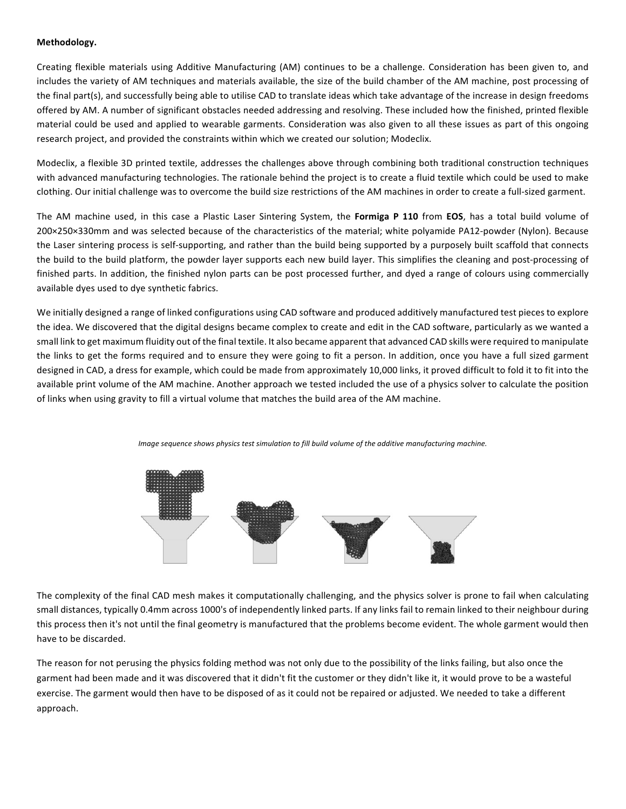#### **Methodology.**

Creating flexible materials using Additive Manufacturing (AM) continues to be a challenge. Consideration has been given to, and includes the variety of AM techniques and materials available, the size of the build chamber of the AM machine, post processing of the final part(s), and successfully being able to utilise CAD to translate ideas which take advantage of the increase in design freedoms offered by AM. A number of significant obstacles needed addressing and resolving. These included how the finished, printed flexible material could be used and applied to wearable garments. Consideration was also given to all these issues as part of this ongoing research project, and provided the constraints within which we created our solution; Modeclix.

Modeclix, a flexible 3D printed textile, addresses the challenges above through combining both traditional construction techniques with advanced manufacturing technologies. The rationale behind the project is to create a fluid textile which could be used to make clothing. Our initial challenge was to overcome the build size restrictions of the AM machines in order to create a full-sized garment.

The AM machine used, in this case a Plastic Laser Sintering System, the Formiga P 110 from EOS, has a total build volume of 200×250×330mm and was selected because of the characteristics of the material; white polyamide PA12-powder (Nylon). Because the Laser sintering process is self-supporting, and rather than the build being supported by a purposely built scaffold that connects the build to the build platform, the powder layer supports each new build layer. This simplifies the cleaning and post-processing of finished parts. In addition, the finished nylon parts can be post processed further, and dyed a range of colours using commercially available dyes used to dye synthetic fabrics.

We initially designed a range of linked configurations using CAD software and produced additively manufactured test pieces to explore the idea. We discovered that the digital designs became complex to create and edit in the CAD software, particularly as we wanted a small link to get maximum fluidity out of the final textile. It also became apparent that advanced CAD skills were required to manipulate the links to get the forms required and to ensure they were going to fit a person. In addition, once you have a full sized garment designed in CAD, a dress for example, which could be made from approximately 10,000 links, it proved difficult to fold it to fit into the available print volume of the AM machine. Another approach we tested included the use of a physics solver to calculate the position of links when using gravity to fill a virtual volume that matches the build area of the AM machine.



*Image sequence shows physics test simulation to fill build volume of the additive manufacturing machine.* 

The complexity of the final CAD mesh makes it computationally challenging, and the physics solver is prone to fail when calculating small distances, typically 0.4mm across 1000's of independently linked parts. If any links fail to remain linked to their neighbour during this process then it's not until the final geometry is manufactured that the problems become evident. The whole garment would then have to be discarded.

The reason for not perusing the physics folding method was not only due to the possibility of the links failing, but also once the garment had been made and it was discovered that it didn't fit the customer or they didn't like it, it would prove to be a wasteful exercise. The garment would then have to be disposed of as it could not be repaired or adjusted. We needed to take a different approach.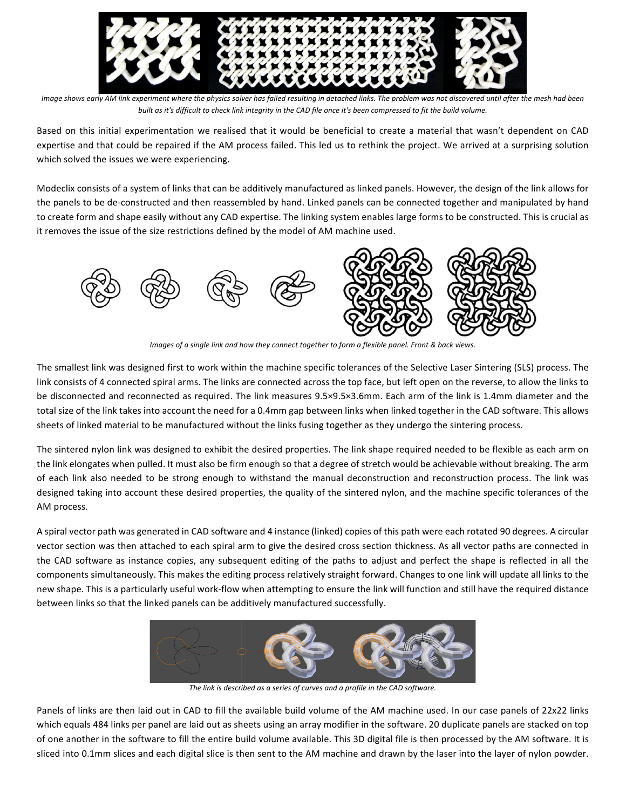

Image shows early AM link experiment where the physics solver has failed resulting in detached links. The problem was not discovered until after the mesh had been *built as it's difficult to check link integrity in the CAD file once it's been compressed to fit the build volume.* 

Based on this initial experimentation we realised that it would be beneficial to create a material that wasn't dependent on CAD expertise and that could be repaired if the AM process failed. This led us to rethink the project. We arrived at a surprising solution which solved the issues we were experiencing.

Modeclix consists of a system of links that can be additively manufactured as linked panels. However, the design of the link allows for the panels to be de-constructed and then reassembled by hand. Linked panels can be connected together and manipulated by hand to create form and shape easily without any CAD expertise. The linking system enables large forms to be constructed. This is crucial as it removes the issue of the size restrictions defined by the model of AM machine used.



*Images* of a single link and how they connect together to form a flexible panel. Front & back views.

The smallest link was designed first to work within the machine specific tolerances of the Selective Laser Sintering (SLS) process. The link consists of 4 connected spiral arms. The links are connected across the top face, but left open on the reverse, to allow the links to be disconnected and reconnected as required. The link measures 9.5×9.5×3.6mm. Each arm of the link is 1.4mm diameter and the total size of the link takes into account the need for a 0.4mm gap between links when linked together in the CAD software. This allows sheets of linked material to be manufactured without the links fusing together as they undergo the sintering process.

The sintered nylon link was designed to exhibit the desired properties. The link shape required needed to be flexible as each arm on the link elongates when pulled. It must also be firm enough so that a degree of stretch would be achievable without breaking. The arm of each link also needed to be strong enough to withstand the manual deconstruction and reconstruction process. The link was designed taking into account these desired properties, the quality of the sintered nylon, and the machine specific tolerances of the AM process.

A spiral vector path was generated in CAD software and 4 instance (linked) copies of this path were each rotated 90 degrees. A circular vector section was then attached to each spiral arm to give the desired cross section thickness. As all vector paths are connected in the CAD software as instance copies, any subsequent editing of the paths to adjust and perfect the shape is reflected in all the components simultaneously. This makes the editing process relatively straight forward. Changes to one link will update all links to the new shape. This is a particularly useful work-flow when attempting to ensure the link will function and still have the required distance between links so that the linked panels can be additively manufactured successfully.



The link is described as a series of curves and a profile in the CAD software.

Panels of links are then laid out in CAD to fill the available build volume of the AM machine used. In our case panels of 22x22 links which equals 484 links per panel are laid out as sheets using an array modifier in the software. 20 duplicate panels are stacked on top of one another in the software to fill the entire build volume available. This 3D digital file is then processed by the AM software. It is sliced into 0.1mm slices and each digital slice is then sent to the AM machine and drawn by the laser into the layer of nylon powder.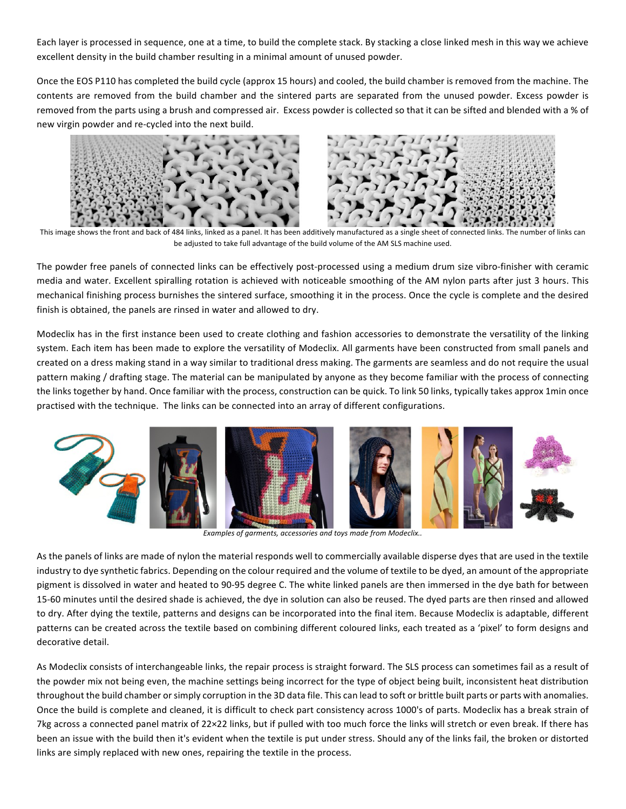Each layer is processed in sequence, one at a time, to build the complete stack. By stacking a close linked mesh in this way we achieve excellent density in the build chamber resulting in a minimal amount of unused powder.

Once the EOS P110 has completed the build cycle (approx 15 hours) and cooled, the build chamber is removed from the machine. The contents are removed from the build chamber and the sintered parts are separated from the unused powder. Excess powder is removed from the parts using a brush and compressed air. Excess powder is collected so that it can be sifted and blended with a % of new virgin powder and re-cycled into the next build.



This image shows the front and back of 484 links, linked as a panel. It has been additively manufactured as a single sheet of connected links. The number of links can be adjusted to take full advantage of the build volume of the AM SLS machine used.

The powder free panels of connected links can be effectively post-processed using a medium drum size vibro-finisher with ceramic media and water. Excellent spiralling rotation is achieved with noticeable smoothing of the AM nylon parts after just 3 hours. This mechanical finishing process burnishes the sintered surface, smoothing it in the process. Once the cycle is complete and the desired finish is obtained, the panels are rinsed in water and allowed to dry.

Modeclix has in the first instance been used to create clothing and fashion accessories to demonstrate the versatility of the linking system. Each item has been made to explore the versatility of Modeclix. All garments have been constructed from small panels and created on a dress making stand in a way similar to traditional dress making. The garments are seamless and do not require the usual pattern making / drafting stage. The material can be manipulated by anyone as they become familiar with the process of connecting the links together by hand. Once familiar with the process, construction can be quick. To link 50 links, typically takes approx 1min once practised with the technique. The links can be connected into an array of different configurations.



Examples of garments, accessories and toys made from Modeclix..

As the panels of links are made of nylon the material responds well to commercially available disperse dyes that are used in the textile industry to dye synthetic fabrics. Depending on the colour required and the volume of textile to be dyed, an amount of the appropriate pigment is dissolved in water and heated to 90-95 degree C. The white linked panels are then immersed in the dye bath for between 15-60 minutes until the desired shade is achieved, the dye in solution can also be reused. The dyed parts are then rinsed and allowed to dry. After dying the textile, patterns and designs can be incorporated into the final item. Because Modeclix is adaptable, different patterns can be created across the textile based on combining different coloured links, each treated as a 'pixel' to form designs and decorative detail.

As Modeclix consists of interchangeable links, the repair process is straight forward. The SLS process can sometimes fail as a result of the powder mix not being even, the machine settings being incorrect for the type of object being built, inconsistent heat distribution throughout the build chamber or simply corruption in the 3D data file. This can lead to soft or brittle built parts or parts with anomalies. Once the build is complete and cleaned, it is difficult to check part consistency across 1000's of parts. Modeclix has a break strain of 7kg across a connected panel matrix of 22×22 links, but if pulled with too much force the links will stretch or even break. If there has been an issue with the build then it's evident when the textile is put under stress. Should any of the links fail, the broken or distorted links are simply replaced with new ones, repairing the textile in the process.